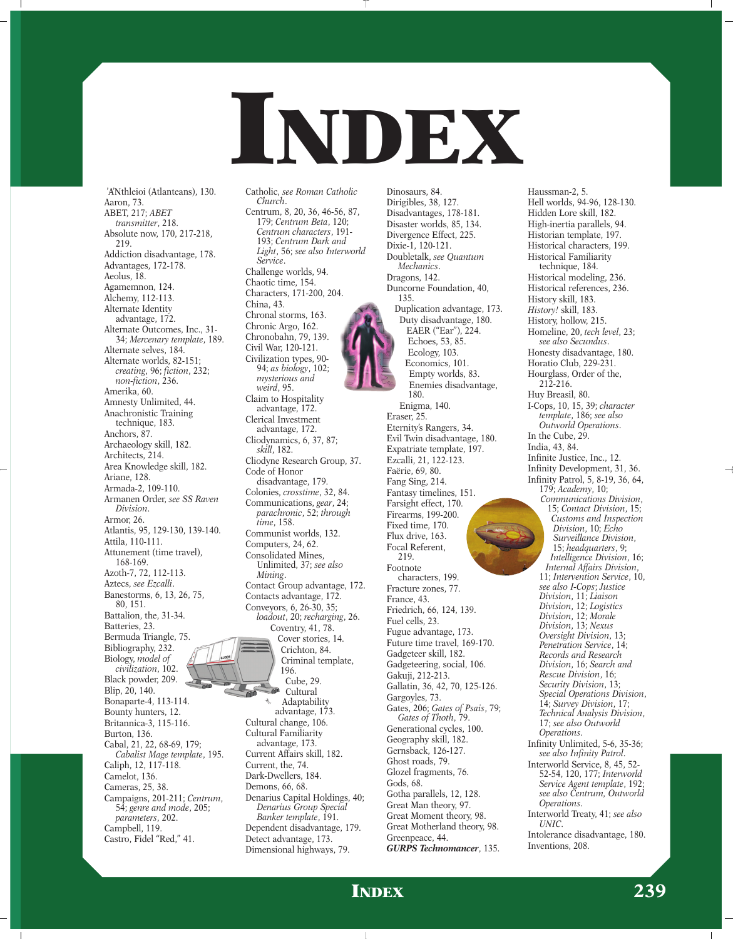

Dinosaurs, 84.

'A'Nthleioi (Atlanteans), 130. Aaron, 73. ABET, 217; *ABET transmitter*, 218. Absolute now, 170, 217-218, 219. Addiction disadvantage, 178. Advantages, 172-178. Aeolus, 18. Agamemnon, 124. Alchemy, 112-113. Alternate Identity advantage, 172. Alternate Outcomes, Inc., 31- 34; *Mercenary template*, 189. Alternate selves, 184. Alternate worlds, 82-151; *creating*, 96; *fiction*, 232; *non-fiction*, 236. Amerika, 60. Amnesty Unlimited, 44. Anachronistic Training technique, 183. Anchors, 87. Archaeology skill, 182. Architects, 214. Area Knowledge skill, 182. Ariane, 128. Armada-2, 109-110. Armanen Order, *see SS Raven Division*. Armor, 26. Atlantis, 95, 129-130, 139-140. Attila, 110-111. Attunement (time travel), 168-169. Azoth-7, 72, 112-113. Aztecs, *see Ezcalli*. Banestorms, 6, 13, 26, 75, 80, 151. Battalion, the, 31-34. Batteries, 23. Bermuda Triangle, 75. Bibliography, 232. Biology, *model of civilization*, 102. Black powder, 209. Blip, 20, 140. Bonaparte-4, 113-114. Bounty hunters, 12. Britannica-3, 115-116. Burton, 136. Cabal, 21, 22, 68-69, 179; *Cabalist Mage template*, 195. Caliph, 12, 117-118. Camelot, 136. Cameras, 25, 38. Campaigns, 201-211; *Centrum*, 54; *genre and mode*, 205; *parameters*, 202. Campbell, 119. Castro, Fidel "Red," 41.

Catholic, *see Roman Catholic Church*. Centrum, 8, 20, 36, 46-56, 87, 179; *Centrum Beta*, 120; *Centrum characters*, 191- 193; *Centrum Dark and Light*, 56; *see also Interworld Service*. Challenge worlds, 94. Chaotic time, 154. Characters, 171-200, 204. China, 43. Chronal storms, 163. Chronic Argo, 162. Chronobahn, 79, 139. Civil War, 120-121. Civilization types, 90- 94; *as biology*, 102; *mysterious and weird*, 95. Claim to Hospitality advantage, 172. Clerical Investment advantage, 172. Cliodynamics, 6, 37, 87; *skill*, 182. Cliodyne Research Group, 37. Code of Honor disadvantage, 179. Colonies, *crosstime*, 32, 84. Communications, *gear*, 24; *parachronic*, 52; *through time*, 158. Communist worlds, 132. Computers, 24, 62. Consolidated Mines, Unlimited, 37; *see also Mining*. Contact Group advantage, 172. Contacts advantage, 172. Conveyors, 6, 26-30, 35; *loadout*, 20; *recharging*, 26. Coventry, 41, 78. Cover stories, 14. Crichton, 84. Criminal template, 196. Cube, 29. Cultural Adaptability advantage, 173. Cultural change, 106. Cultural Familiarity advantage, 173. Current Affairs skill, 182. Current, the, 74. Dark-Dwellers, 184. Demons, 66, 68. Denarius Capital Holdings, 40; *Denarius Group Special Banker template*, 191. Dependent disadvantage, 179. Detect advantage, 173. Dimensional highways, 79.

Dirigibles, 38, 127. Disadvantages, 178-181. Disaster worlds, 85, 134. Divergence Effect, 225. Dixie-1, 120-121. Doubletalk, *see Quantum Mechanics*. Dragons, 142. Duncorne Foundation, 40, 135. Duplication advantage, 173. Duty disadvantage, 180. EAER ("Ear"), 224. Echoes, 53, 85. Ecology, 103. Economics, 101. Empty worlds, 83. Enemies disadvantage, 180. Enigma, 140. Eraser, 25. Eternity's Rangers, 34. Evil Twin disadvantage, 180. Expatriate template, 197. Ezcalli, 21, 122-123. Faërie, 69, 80. Fang Sing, 214. Fantasy timelines, 151. Farsight effect, 170. Firearms, 199-200. Fixed time, 170. Flux drive, 163. Focal Referent, 219. Footnote characters, 199. Fracture zones, 77. France, 43. Friedrich, 66, 124, 139. Fuel cells, 23. Fugue advantage, 173. Future time travel, 169-170. Gadgeteer skill, 182. Gadgeteering, social, 106. Gakuji, 212-213. Gallatin, 36, 42, 70, 125-126. Gargoyles, 73. Gates, 206; *Gates of Psais*, 79; *Gates of Thoth*, 79. Generational cycles, 100. Geography skill, 182. Gernsback, 126-127. Ghost roads, 79. Glozel fragments, 76. Gods, 68. Gotha parallels, 12, 128. Great Man theory, 97. Great Moment theory, 98. Great Motherland theory, 98. Greenpeace, 44. *GURPS Technomancer*, 135.

Hell worlds, 94-96, 128-130. Hidden Lore skill, 182. High-inertia parallels, 94. Historian template, 197. Historical characters, 199. Historical Familiarity technique, 184. Historical modeling, 236. Historical references, 236. History skill, 183. *History!* skill, 183. History, hollow, 215. Homeline, 20, *tech level*, 23; *see also Secundus*. Honesty disadvantage, 180. Horatio Club, 229-231. Hourglass, Order of the, 212-216. Huy Breasil, 80. I-Cops, 10, 15, 39; *character template*, 186; *see also Outworld Operations*. In the Cube, 29. India, 43, 84. Infinite Justice, Inc., 12. Infinity Development, 31, 36. Infinity Patrol, 5, 8-19, 36, 64, 179; *Academy*, 10; *Communications Division*, 15; *Contact Division*, 15; *Customs and Inspection Division*, 10; *Echo Surveillance Division*, 15; *headquarters*, 9; *Intelligence Division*, 16; *Internal Affairs Division*, 11; *Intervention Service*, 10, *see also I-Cops*; *Justice Division*, 11; *Liaison Division*, 12; *Logistics Division*, 12; *Morale Division*, 13; *Nexus Oversight Division*, 13; *Penetration Service*, 14; *Records and Research Division*, 16; *Search and Rescue Division*, 16; *Security Division*, 13; *Special Operations Division*, 14; *Survey Division*, 17; *Technical Analysis Division*, 17; *see also Outworld Operations*. Infinity Unlimited, 5-6, 35-36; *see also Infinity Patrol*. Interworld Service, 8, 45, 52- 52-54, 120, 177; *Interworld Service Agent template*, 192; *see also Centrum, Outworld Operations*. Interworld Treaty, 41; *see also*

Haussman-2, 5.

*UNIC*.

Intolerance disadvantage, 180. Inventions, 208.